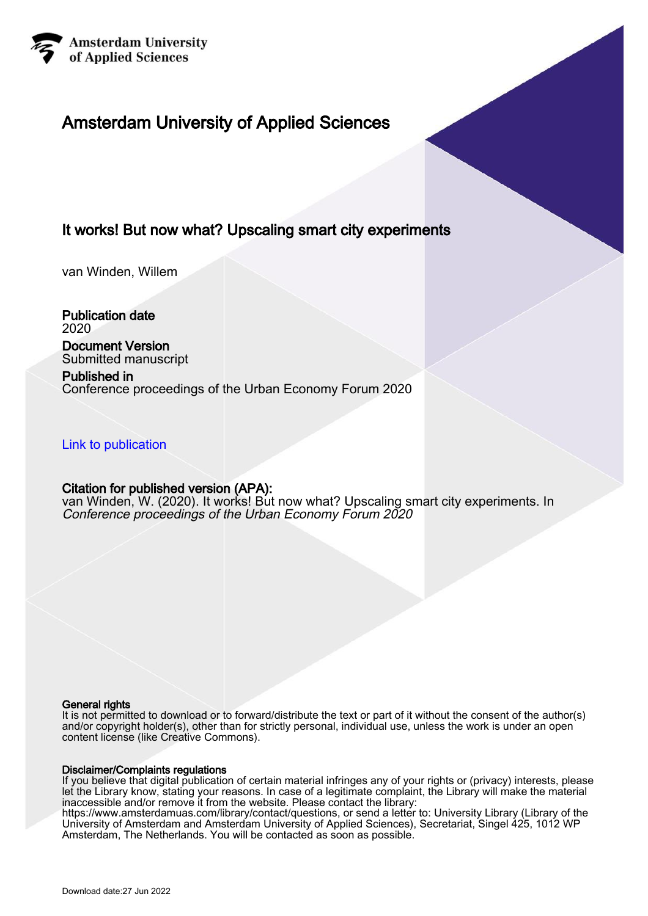

# Amsterdam University of Applied Sciences

# It works! But now what? Upscaling smart city experiments

van Winden, Willem

Publication date 2020

Document Version Submitted manuscript

# Published in

Conference proceedings of the Urban Economy Forum 2020

[Link to publication](https://research.hva.nl/en/publications/c73a9047-aec0-43d6-8187-4353fd46b5de)

# Citation for published version (APA):

van Winden, W. (2020). It works! But now what? Upscaling smart city experiments. In Conference proceedings of the Urban Economy Forum 2020

#### General rights

It is not permitted to download or to forward/distribute the text or part of it without the consent of the author(s) and/or copyright holder(s), other than for strictly personal, individual use, unless the work is under an open content license (like Creative Commons).

#### Disclaimer/Complaints regulations

If you believe that digital publication of certain material infringes any of your rights or (privacy) interests, please let the Library know, stating your reasons. In case of a legitimate complaint, the Library will make the material inaccessible and/or remove it from the website. Please contact the library:

https://www.amsterdamuas.com/library/contact/questions, or send a letter to: University Library (Library of the University of Amsterdam and Amsterdam University of Applied Sciences), Secretariat, Singel 425, 1012 WP Amsterdam, The Netherlands. You will be contacted as soon as possible.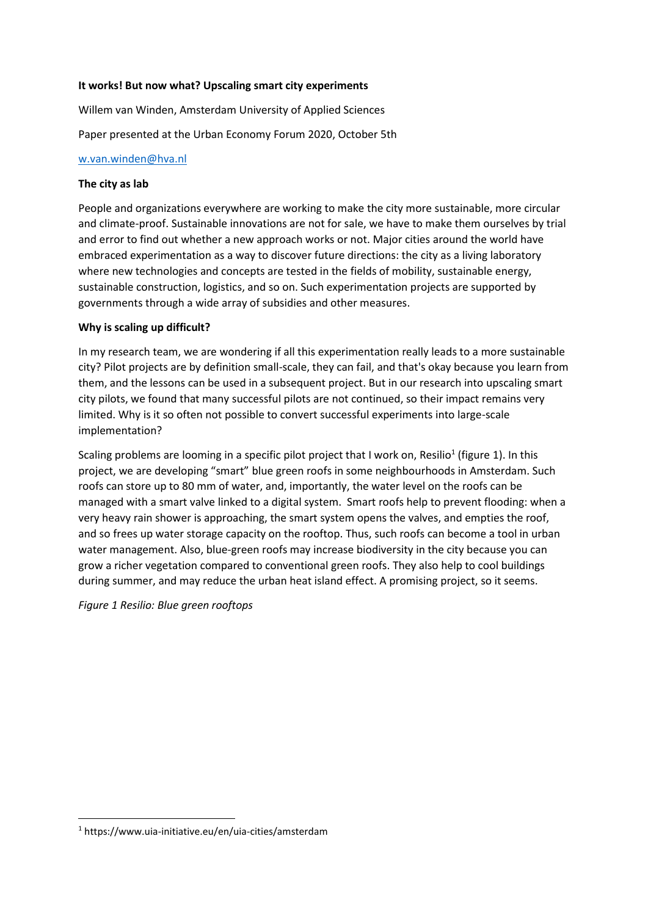#### **It works! But now what? Upscaling smart city experiments**

Willem van Winden, Amsterdam University of Applied Sciences

Paper presented at the Urban Economy Forum 2020, October 5th

#### [w.van.winden@hva.nl](mailto:w.van.winden@hva.nl)

#### **The city as lab**

People and organizations everywhere are working to make the city more sustainable, more circular and climate-proof. Sustainable innovations are not for sale, we have to make them ourselves by trial and error to find out whether a new approach works or not. Major cities around the world have embraced experimentation as a way to discover future directions: the city as a living laboratory where new technologies and concepts are tested in the fields of mobility, sustainable energy, sustainable construction, logistics, and so on. Such experimentation projects are supported by governments through a wide array of subsidies and other measures.

## **Why is scaling up difficult?**

In my research team, we are wondering if all this experimentation really leads to a more sustainable city? Pilot projects are by definition small-scale, they can fail, and that's okay because you learn from them, and the lessons can be used in a subsequent project. But in our research into upscaling smart city pilots, we found that many successful pilots are not continued, so their impact remains very limited. Why is it so often not possible to convert successful experiments into large-scale implementation?

Scaling problems are looming in a specific pilot project that I work on, Resilio<sup>1</sup> (figure 1). In this project, we are developing "smart" blue green roofs in some neighbourhoods in Amsterdam. Such roofs can store up to 80 mm of water, and, importantly, the water level on the roofs can be managed with a smart valve linked to a digital system. Smart roofs help to prevent flooding: when a very heavy rain shower is approaching, the smart system opens the valves, and empties the roof, and so frees up water storage capacity on the rooftop. Thus, such roofs can become a tool in urban water management. Also, blue-green roofs may increase biodiversity in the city because you can grow a richer vegetation compared to conventional green roofs. They also help to cool buildings during summer, and may reduce the urban heat island effect. A promising project, so it seems.

*Figure 1 Resilio: Blue green rooftops*

**.** 

<sup>1</sup> https://www.uia-initiative.eu/en/uia-cities/amsterdam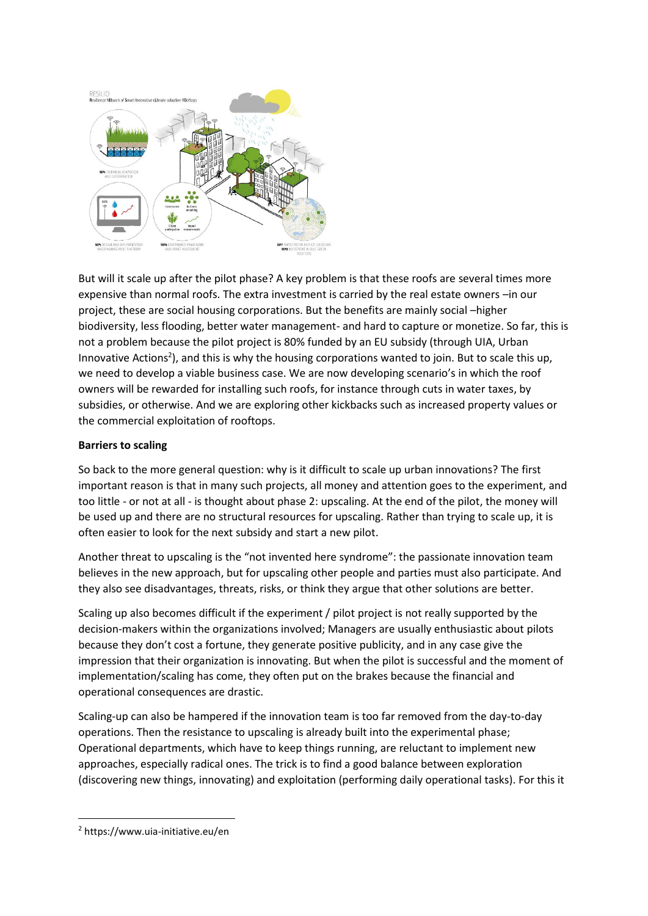

But will it scale up after the pilot phase? A key problem is that these roofs are several times more expensive than normal roofs. The extra investment is carried by the real estate owners –in our project, these are social housing corporations. But the benefits are mainly social –higher biodiversity, less flooding, better water management- and hard to capture or monetize. So far, this is not a problem because the pilot project is 80% funded by an EU subsidy (through UIA, Urban Innovative Actions<sup>2</sup>), and this is why the housing corporations wanted to join. But to scale this up, we need to develop a viable business case. We are now developing scenario's in which the roof owners will be rewarded for installing such roofs, for instance through cuts in water taxes, by subsidies, or otherwise. And we are exploring other kickbacks such as increased property values or the commercial exploitation of rooftops.

## **Barriers to scaling**

So back to the more general question: why is it difficult to scale up urban innovations? The first important reason is that in many such projects, all money and attention goes to the experiment, and too little - or not at all - is thought about phase 2: upscaling. At the end of the pilot, the money will be used up and there are no structural resources for upscaling. Rather than trying to scale up, it is often easier to look for the next subsidy and start a new pilot.

Another threat to upscaling is the "not invented here syndrome": the passionate innovation team believes in the new approach, but for upscaling other people and parties must also participate. And they also see disadvantages, threats, risks, or think they argue that other solutions are better.

Scaling up also becomes difficult if the experiment / pilot project is not really supported by the decision-makers within the organizations involved; Managers are usually enthusiastic about pilots because they don't cost a fortune, they generate positive publicity, and in any case give the impression that their organization is innovating. But when the pilot is successful and the moment of implementation/scaling has come, they often put on the brakes because the financial and operational consequences are drastic.

Scaling-up can also be hampered if the innovation team is too far removed from the day-to-day operations. Then the resistance to upscaling is already built into the experimental phase; Operational departments, which have to keep things running, are reluctant to implement new approaches, especially radical ones. The trick is to find a good balance between exploration (discovering new things, innovating) and exploitation (performing daily operational tasks). For this it

**<sup>.</sup>** <sup>2</sup> https://www.uia-initiative.eu/en